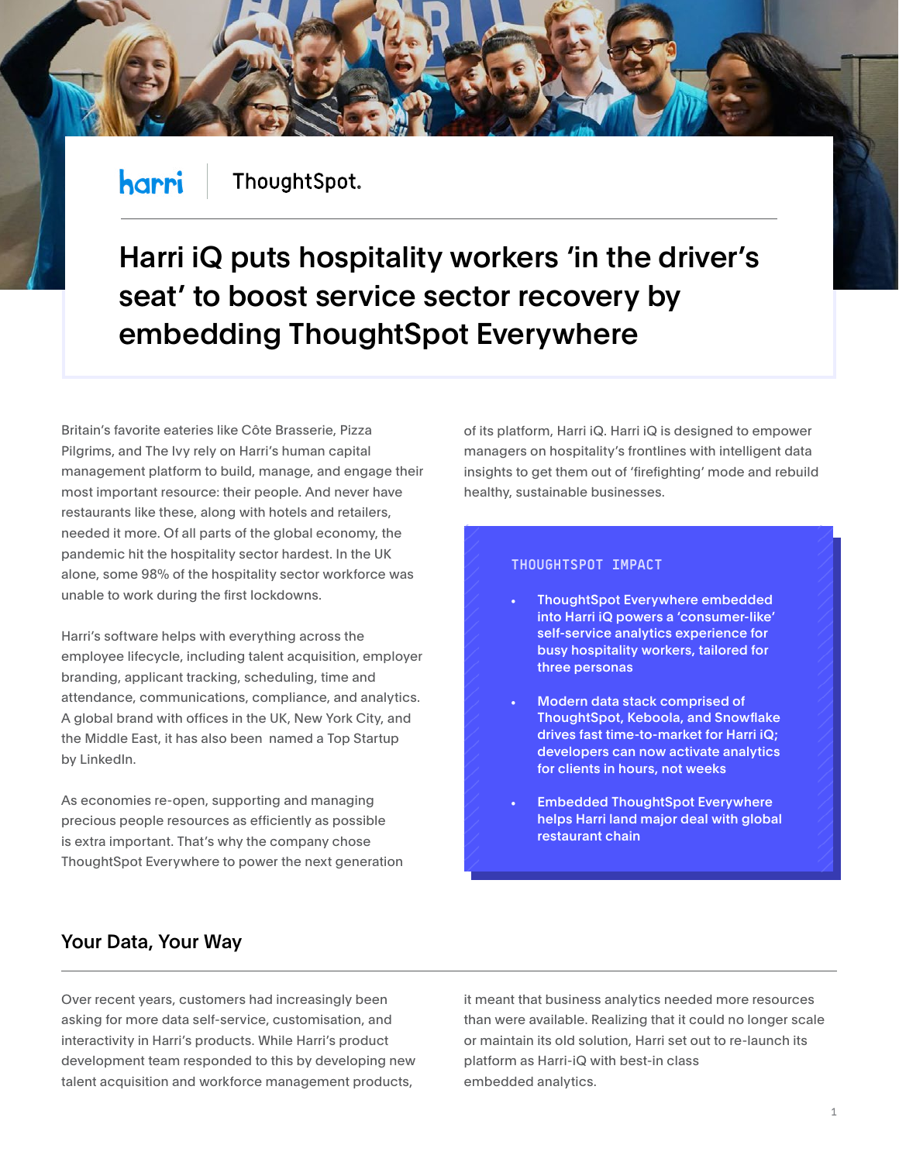#### harri ThoughtSpot.

# Harri iQ puts hospitality workers 'in the driver's seat' to boost service sector recovery by embedding ThoughtSpot Everywhere

Britain's favorite eateries like Côte Brasserie, Pizza Pilgrims, and The Ivy rely on Harri's human capital management platform to build, manage, and engage their most important resource: their people. And never have restaurants like these, along with hotels and retailers, needed it more. Of all parts of the global economy, the pandemic hit the hospitality sector hardest. In the UK alone, some 98% of the hospitality sector workforce was unable to work during the first lockdowns.

Harri's software helps with everything across the employee lifecycle, including talent acquisition, employer branding, applicant tracking, scheduling, time and attendance, communications, compliance, and analytics. A global brand with offices in the UK, New York City, and the Middle East, it has also been named a Top Startup by LinkedIn.

As economies re-open, supporting and managing precious people resources as efficiently as possible is extra important. That's why the company chose ThoughtSpot Everywhere to power the next generation of its platform, Harri iQ. Harri iQ is designed to empower managers on hospitality's frontlines with intelligent data insights to get them out of 'firefighting' mode and rebuild healthy, sustainable businesses.

#### **THOUGHTSPOT IMPACT**

- ThoughtSpot Everywhere embedded into Harri iQ powers a 'consumer-like' self-service analytics experience for busy hospitality workers, tailored for three personas
- Modern data stack comprised of ThoughtSpot, Keboola, and Snowflake drives fast time-to-market for Harri iQ; developers can now activate analytics for clients in hours, not weeks
- Embedded ThoughtSpot Everywhere helps Harri land major deal with global restaurant chain

## Your Data, Your Way

Over recent years, customers had increasingly been asking for more data self-service, customisation, and interactivity in Harri's products. While Harri's product development team responded to this by developing new talent acquisition and workforce management products,

it meant that business analytics needed more resources than were available. Realizing that it could no longer scale or maintain its old solution, Harri set out to re-launch its platform as Harri-iQ with best-in class embedded analytics.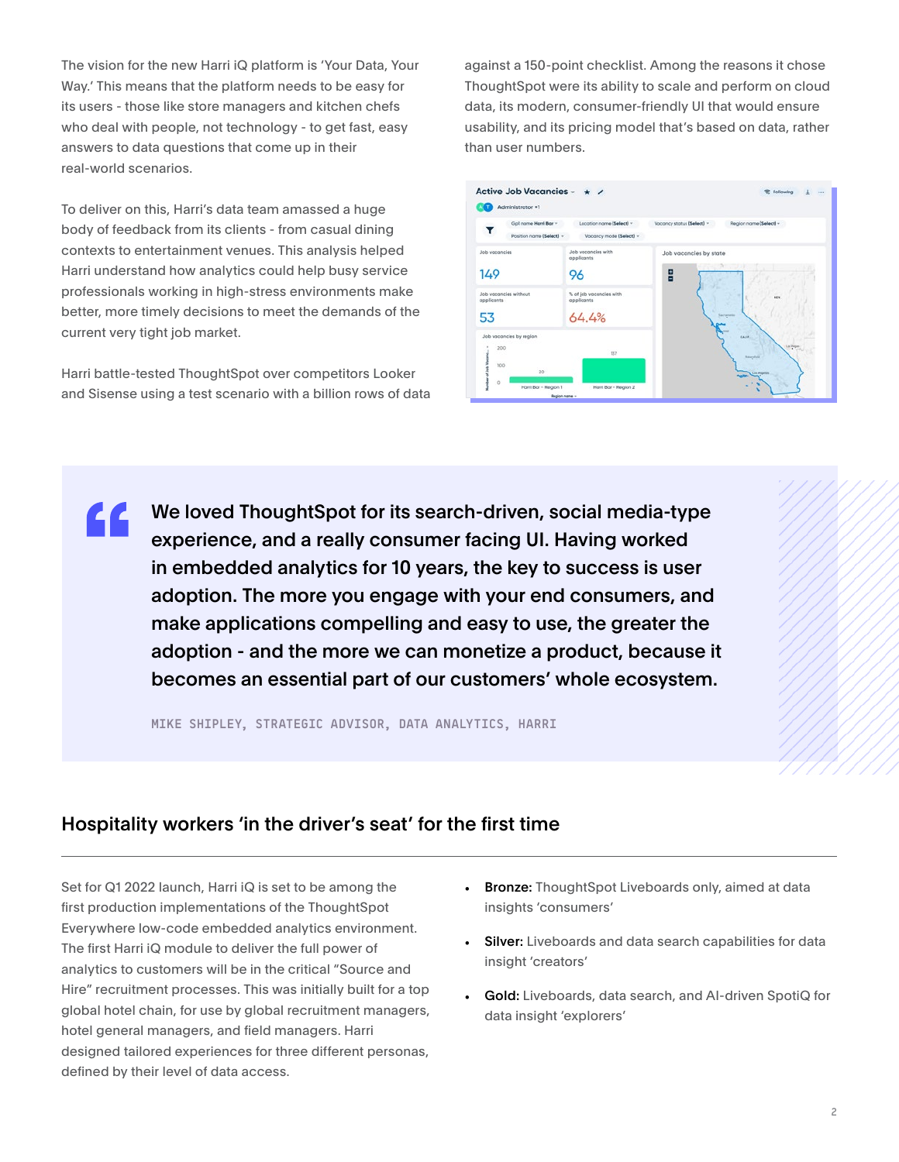The vision for the new Harri iQ platform is 'Your Data, Your Way.' This means that the platform needs to be easy for its users - those like store managers and kitchen chefs who deal with people, not technology - to get fast, easy answers to data questions that come up in their real-world scenarios.

To deliver on this, Harri's data team amassed a huge body of feedback from its clients - from casual dining contexts to entertainment venues. This analysis helped Harri understand how analytics could help busy service professionals working in high-stress environments make better, more timely decisions to meet the demands of the current very tight job market.

Harri battle-tested ThoughtSpot over competitors Looker and Sisense using a test scenario with a billion rows of data against a 150-point checklist. Among the reasons it chose ThoughtSpot were its ability to scale and perform on cloud data, its modern, consumer-friendly UI that would ensure usability, and its pricing model that's based on data, rather than user numbers.



We loved ThoughtSpot for its search-driven, social media-type <u>LL</u> experience, and a really consumer facing UI. Having worked in embedded analytics for 10 years, the key to success is user adoption. The more you engage with your end consumers, and make applications compelling and easy to use, the greater the adoption - and the more we can monetize a product, because it becomes an essential part of our customers' whole ecosystem.

**MIKE SHIPLEY, STRATEGIC ADVISOR, DATA ANALYTICS, HARRI**

### Hospitality workers 'in the driver's seat' for the first time

Set for Q1 2022 launch, Harri iQ is set to be among the first production implementations of the ThoughtSpot Everywhere low-code embedded analytics environment. The first Harri iQ module to deliver the full power of analytics to customers will be in the critical "Source and Hire" recruitment processes. This was initially built for a top global hotel chain, for use by global recruitment managers, hotel general managers, and field managers. Harri designed tailored experiences for three different personas, defined by their level of data access.

- Bronze: ThoughtSpot Liveboards only, aimed at data insights 'consumers'
- Silver: Liveboards and data search capabilities for data insight 'creators'
- Gold: Liveboards, data search, and AI-driven SpotiQ for data insight 'explorers'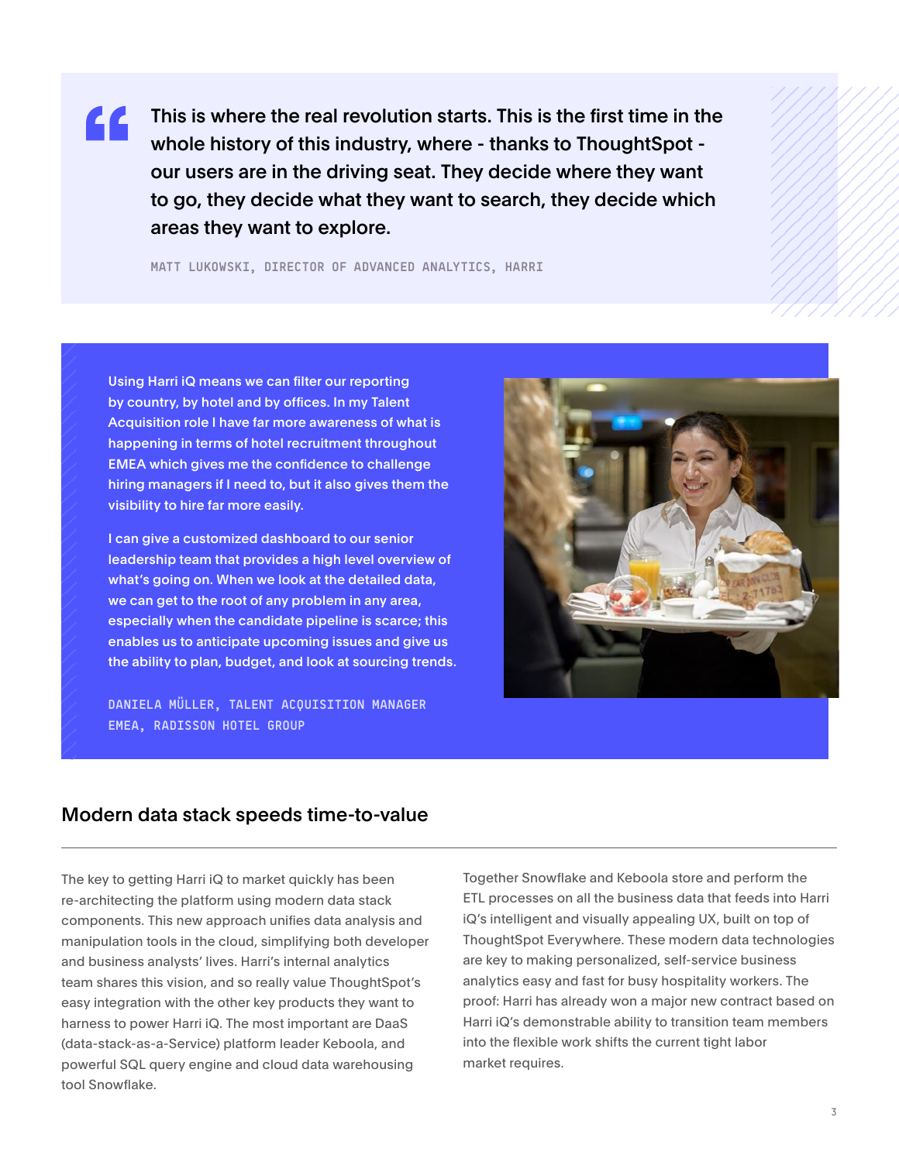This is where the real revolution starts. This is the first time in the 44 whole history of this industry, where - thanks to ThoughtSpot our users are in the driving seat. They decide where they want to go, they decide what they want to search, they decide which areas they want to explore.

**MATT LUKOWSKI, DIRECTOR OF ADVANCED ANALYTICS, HARRI**

Using Harri iQ means we can filter our reporting by country, by hotel and by offices. In my Talent Acquisition role I have far more awareness of what is happening in terms of hotel recruitment throughout EMEA which gives me the confidence to challenge hiring managers if I need to, but it also gives them the visibility to hire far more easily.

I can give a customized dashboard to our senior leadership team that provides a high level overview of what's going on. When we look at the detailed data, we can get to the root of any problem in any area, especially when the candidate pipeline is scarce; this enables us to anticipate upcoming issues and give us the ability to plan, budget, and look at sourcing trends.

**DANIELA MÜLLER, TALENT ACQUISITION MANAGER EMEA, RADISSON HOTEL GROUP**



#### Modern data stack speeds time-to-value

The key to getting Harri iQ to market quickly has been re-architecting the platform using modern data stack components. This new approach unifies data analysis and manipulation tools in the cloud, simplifying both developer and business analysts' lives. Harri's internal analytics team shares this vision, and so really value ThoughtSpot's easy integration with the other key products they want to harness to power Harri iQ. The most important are DaaS (data-stack-as-a-Service) platform leader Keboola, and powerful SQL query engine and cloud data warehousing tool Snowflake.

Together Snowflake and Keboola store and perform the ETL processes on all the business data that feeds into Harri iQ's intelligent and visually appealing UX, built on top of ThoughtSpot Everywhere. These modern data technologies are key to making personalized, self-service business analytics easy and fast for busy hospitality workers. The proof: Harri has already won a major new contract based on Harri iQ's demonstrable ability to transition team members into the flexible work shifts the current tight labor market requires.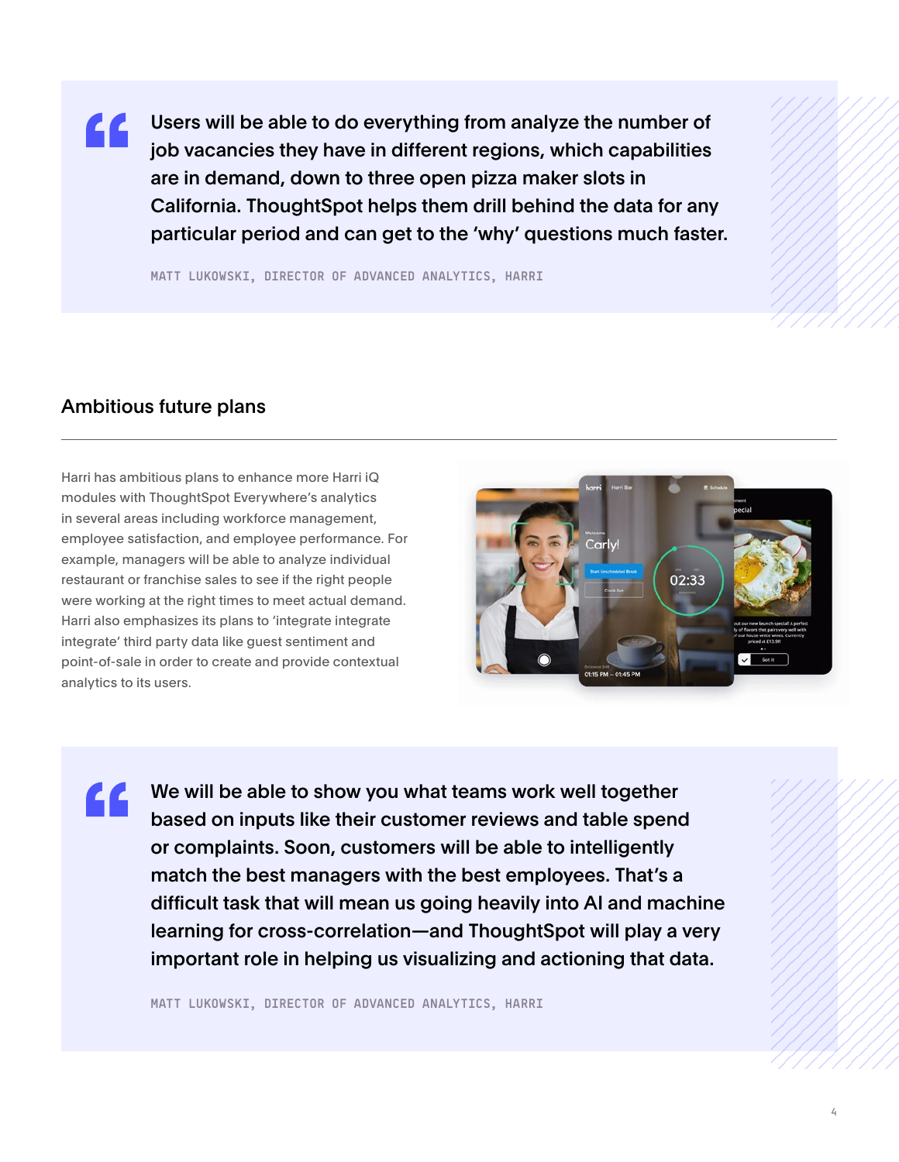Users will be able to do everything from analyze the number of <u>LL</u> job vacancies they have in different regions, which capabilities are in demand, down to three open pizza maker slots in California. ThoughtSpot helps them drill behind the data for any particular period and can get to the 'why' questions much faster.

**MATT LUKOWSKI, DIRECTOR OF ADVANCED ANALYTICS, HARRI**

#### Ambitious future plans

LL

Harri has ambitious plans to enhance more Harri iQ modules with ThoughtSpot Everywhere's analytics in several areas including workforce management, employee satisfaction, and employee performance. For example, managers will be able to analyze individual restaurant or franchise sales to see if the right people were working at the right times to meet actual demand. Harri also emphasizes its plans to 'integrate integrate integrate' third party data like guest sentiment and point-of-sale in order to create and provide contextual analytics to its users.



We will be able to show you what teams work well together based on inputs like their customer reviews and table spend or complaints. Soon, customers will be able to intelligently match the best managers with the best employees. That's a difficult task that will mean us going heavily into AI and machine learning for cross-correlation—and ThoughtSpot will play a very important role in helping us visualizing and actioning that data.

**MATT LUKOWSKI, DIRECTOR OF ADVANCED ANALYTICS, HARRI**